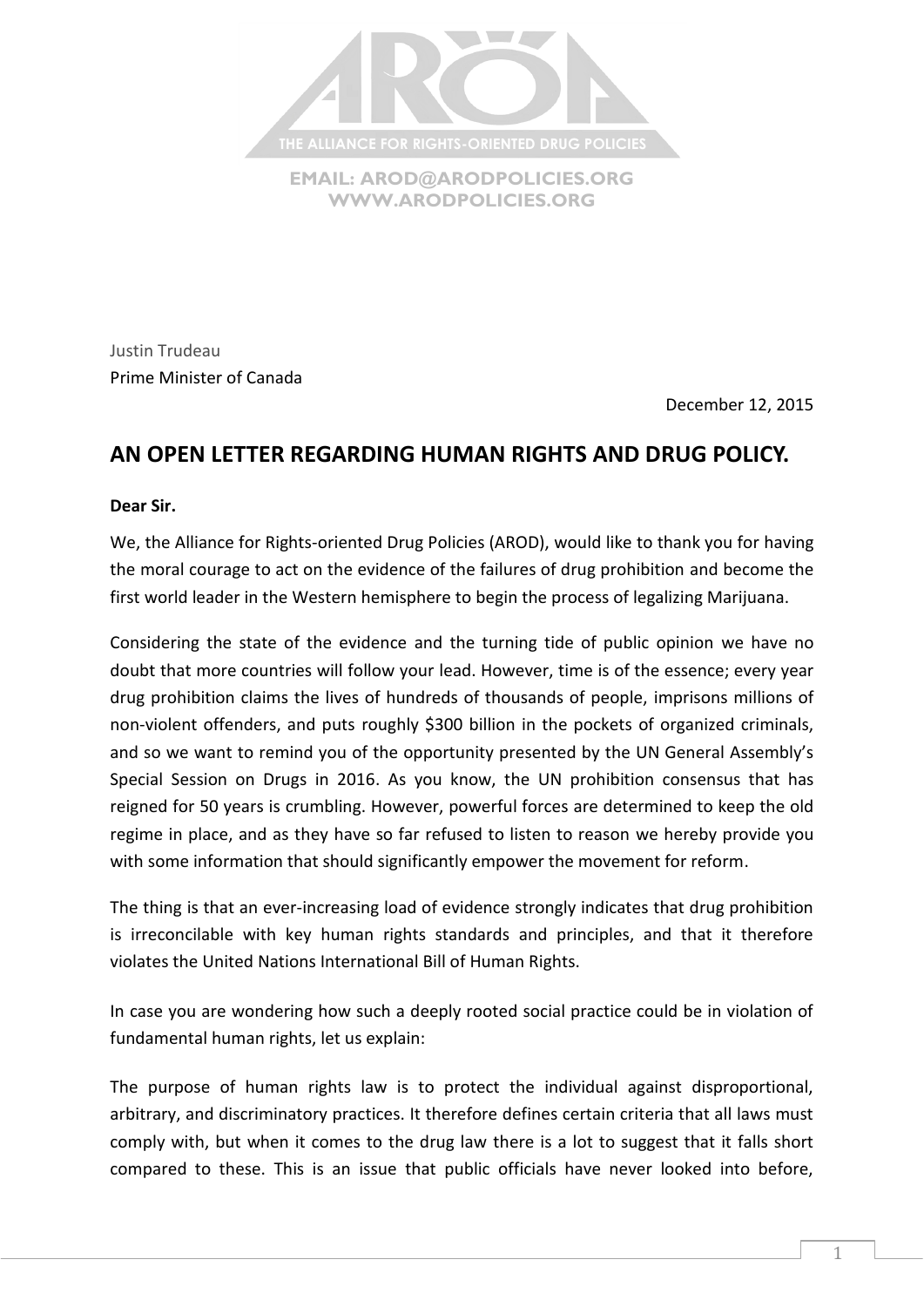

**EMAIL: [AROD@ARODPOLICIES.ORG](mailto:AROD@ARODPOLICIES.ORG) [WWW.ARODPOLICIES.ORG](http://www.arodpolicies.org/)**

Justin Trudeau Prime Minister of Canada

December 12, 2015

## **AN OPEN LETTER REGARDING HUMAN RIGHTS AND DRUG POLICY.**

## **Dear Sir.**

We, the Alliance for Rights-oriented Drug Policies (AROD), would like to thank you for having the moral courage to act on the evidence of the failures of drug prohibition and become the first world leader in the Western hemisphere to begin the process of legalizing Marijuana.

Considering the state of the evidence and the turning tide of public opinion we have no doubt that more countries will follow your lead. However, time is of the essence; every year drug prohibition claims the lives of hundreds of thousands of people, imprisons millions of non-violent offenders, and puts roughly \$300 billion in the pockets of organized criminals, and so we want to remind you of the opportunity presented by the UN General Assembly's Special Session on Drugs in 2016. As you know, the UN prohibition consensus that has reigned for 50 years is crumbling. However, powerful forces are determined to keep the old regime in place, and as they have so far refused to listen to reason we hereby provide you with some information that should significantly empower the movement for reform.

The thing is that an ever-increasing load of evidence strongly indicates that drug prohibition is irreconcilable with key human rights standards and principles, and that it therefore violates the United Nations International Bill of Human Rights.

In case you are wondering how such a deeply rooted social practice could be in violation of fundamental human rights, let us explain:

The purpose of human rights law is to protect the individual against disproportional, arbitrary, and discriminatory practices. It therefore defines certain criteria that all laws must comply with, but when it comes to the drug law there is a lot to suggest that it falls short compared to these. This is an issue that public officials have never looked into before,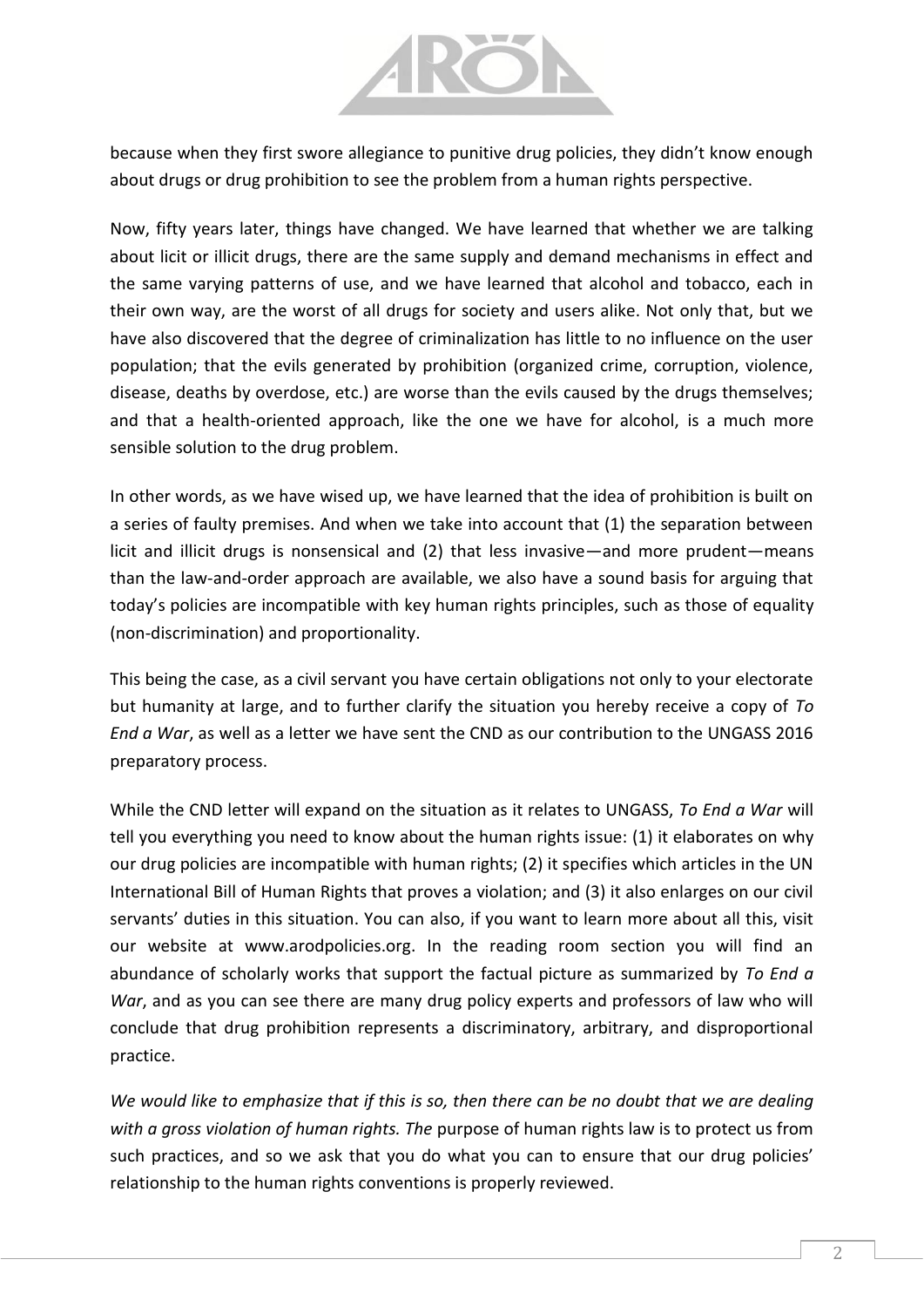

because when they first swore allegiance to punitive drug policies, they didn't know enough about drugs or drug prohibition to see the problem from a human rights perspective.

Now, fifty years later, things have changed. We have learned that whether we are talking about licit or illicit drugs, there are the same supply and demand mechanisms in effect and the same varying patterns of use, and we have learned that alcohol and tobacco, each in their own way, are the worst of all drugs for society and users alike. Not only that, but we have also discovered that the degree of criminalization has little to no influence on the user population; that the evils generated by prohibition (organized crime, corruption, violence, disease, deaths by overdose, etc.) are worse than the evils caused by the drugs themselves; and that a health-oriented approach, like the one we have for alcohol, is a much more sensible solution to the drug problem.

In other words, as we have wised up, we have learned that the idea of prohibition is built on a series of faulty premises. And when we take into account that (1) the separation between licit and illicit drugs is nonsensical and (2) that less invasive—and more prudent—means than the law-and-order approach are available, we also have a sound basis for arguing that today's policies are incompatible with key human rights principles, such as those of equality (non-discrimination) and proportionality.

This being the case, as a civil servant you have certain obligations not only to your electorate but humanity at large, and to further clarify the situation you hereby receive a copy of *To End a War*, as well as a letter we have sent the CND as our contribution to the UNGASS 2016 preparatory process.

While the CND letter will expand on the situation as it relates to UNGASS, *To End a War* will tell you everything you need to know about the human rights issue: (1) it elaborates on why our drug policies are incompatible with human rights; (2) it specifies which articles in the UN International Bill of Human Rights that proves a violation; and (3) it also enlarges on our civil servants' duties in this situation. You can also, if you want to learn more about all this, visit our website at www.arodpolicies.org. In the reading room section you will find an abundance of scholarly works that support the factual picture as summarized by *To End a War*, and as you can see there are many drug policy experts and professors of law who will conclude that drug prohibition represents a discriminatory, arbitrary, and disproportional practice.

*We would like to emphasize that if this is so, then there can be no doubt that we are dealing with a gross violation of human rights. The* purpose of human rights law is to protect us from such practices, and so we ask that you do what you can to ensure that our drug policies' relationship to the human rights conventions is properly reviewed.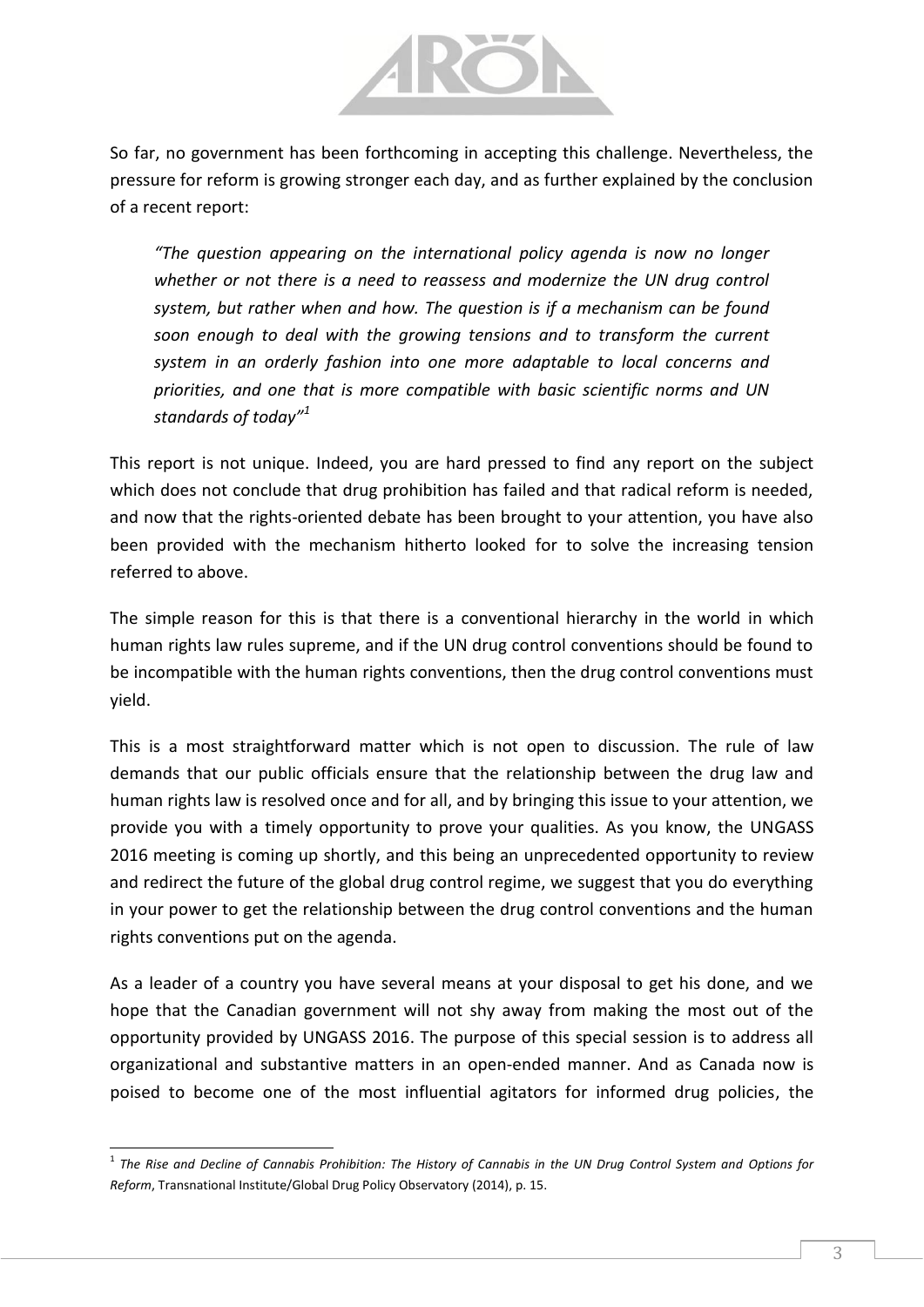

So far, no government has been forthcoming in accepting this challenge. Nevertheless, the pressure for reform is growing stronger each day, and as further explained by the conclusion of a recent report:

*"The question appearing on the international policy agenda is now no longer whether or not there is a need to reassess and modernize the UN drug control system, but rather when and how. The question is if a mechanism can be found soon enough to deal with the growing tensions and to transform the current system in an orderly fashion into one more adaptable to local concerns and priorities, and one that is more compatible with basic scientific norms and UN standards of today"<sup>1</sup>*

This report is not unique. Indeed, you are hard pressed to find any report on the subject which does not conclude that drug prohibition has failed and that radical reform is needed, and now that the rights-oriented debate has been brought to your attention, you have also been provided with the mechanism hitherto looked for to solve the increasing tension referred to above.

The simple reason for this is that there is a conventional hierarchy in the world in which human rights law rules supreme, and if the UN drug control conventions should be found to be incompatible with the human rights conventions, then the drug control conventions must yield.

This is a most straightforward matter which is not open to discussion. The rule of law demands that our public officials ensure that the relationship between the drug law and human rights law is resolved once and for all, and by bringing this issue to your attention, we provide you with a timely opportunity to prove your qualities. As you know, the UNGASS 2016 meeting is coming up shortly, and this being an unprecedented opportunity to review and redirect the future of the global drug control regime, we suggest that you do everything in your power to get the relationship between the drug control conventions and the human rights conventions put on the agenda.

As a leader of a country you have several means at your disposal to get his done, and we hope that the Canadian government will not shy away from making the most out of the opportunity provided by UNGASS 2016. The purpose of this special session is to address all organizational and substantive matters in an open-ended manner. And as Canada now is poised to become one of the most influential agitators for informed drug policies, the

 $\overline{\phantom{a}}$ 

<sup>&</sup>lt;sup>1</sup> The Rise and Decline of Cannabis Prohibition: The History of Cannabis in the UN Drug Control System and Options for *Reform*, Transnational Institute/Global Drug Policy Observatory (2014), p. 15.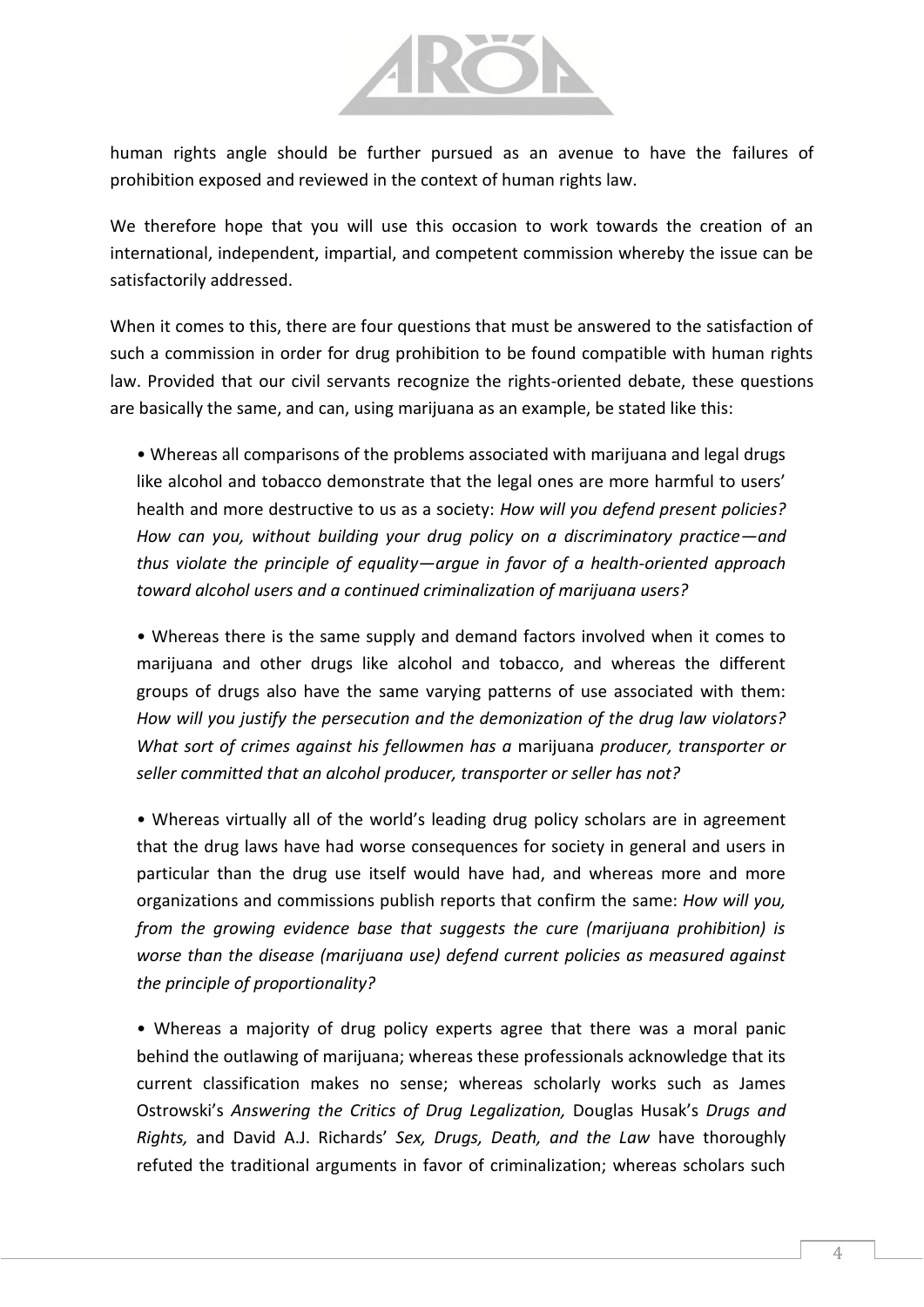

human rights angle should be further pursued as an avenue to have the failures of prohibition exposed and reviewed in the context of human rights law.

We therefore hope that you will use this occasion to work towards the creation of an international, independent, impartial, and competent commission whereby the issue can be satisfactorily addressed.

When it comes to this, there are four questions that must be answered to the satisfaction of such a commission in order for drug prohibition to be found compatible with human rights law. Provided that our civil servants recognize the rights-oriented debate, these questions are basically the same, and can, using marijuana as an example, be stated like this:

• Whereas all comparisons of the problems associated with marijuana and legal drugs like alcohol and tobacco demonstrate that the legal ones are more harmful to users' health and more destructive to us as a society: *How will you defend present policies? How can you, without building your drug policy on a discriminatory practice—and thus violate the principle of equality—argue in favor of a health-oriented approach toward alcohol users and a continued criminalization of marijuana users?*

• Whereas there is the same supply and demand factors involved when it comes to marijuana and other drugs like alcohol and tobacco, and whereas the different groups of drugs also have the same varying patterns of use associated with them: *How will you justify the persecution and the demonization of the drug law violators? What sort of crimes against his fellowmen has a* marijuana *producer, transporter or seller committed that an alcohol producer, transporter or seller has not?*

• Whereas virtually all of the world's leading drug policy scholars are in agreement that the drug laws have had worse consequences for society in general and users in particular than the drug use itself would have had, and whereas more and more organizations and commissions publish reports that confirm the same: *How will you, from the growing evidence base that suggests the cure (marijuana prohibition) is worse than the disease (marijuana use) defend current policies as measured against the principle of proportionality?*

• Whereas a majority of drug policy experts agree that there was a moral panic behind the outlawing of marijuana; whereas these professionals acknowledge that its current classification makes no sense; whereas scholarly works such as James Ostrowski's *Answering the Critics of Drug Legalization,* Douglas Husak's *Drugs and Rights,* and David A.J. Richards' *Sex, Drugs, Death, and the Law* have thoroughly refuted the traditional arguments in favor of criminalization; whereas scholars such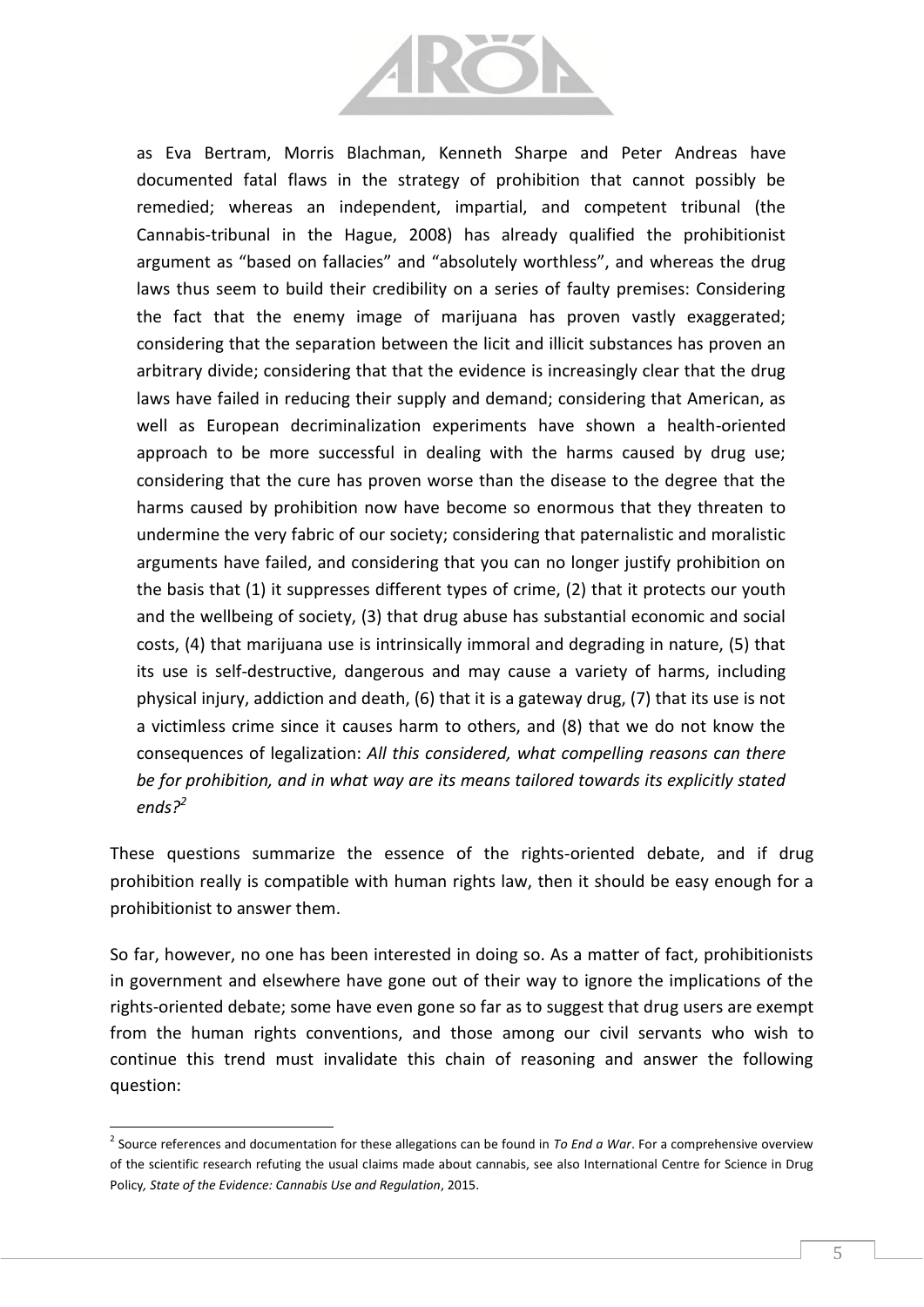

as Eva Bertram, Morris Blachman, Kenneth Sharpe and Peter Andreas have documented fatal flaws in the strategy of prohibition that cannot possibly be remedied; whereas an independent, impartial, and competent tribunal (the Cannabis-tribunal in the Hague, 2008) has already qualified the prohibitionist argument as "based on fallacies" and "absolutely worthless", and whereas the drug laws thus seem to build their credibility on a series of faulty premises: Considering the fact that the enemy image of marijuana has proven vastly exaggerated; considering that the separation between the licit and illicit substances has proven an arbitrary divide; considering that that the evidence is increasingly clear that the drug laws have failed in reducing their supply and demand; considering that American, as well as European decriminalization experiments have shown a health-oriented approach to be more successful in dealing with the harms caused by drug use; considering that the cure has proven worse than the disease to the degree that the harms caused by prohibition now have become so enormous that they threaten to undermine the very fabric of our society; considering that paternalistic and moralistic arguments have failed, and considering that you can no longer justify prohibition on the basis that (1) it suppresses different types of crime, (2) that it protects our youth and the wellbeing of society, (3) that drug abuse has substantial economic and social costs, (4) that marijuana use is intrinsically immoral and degrading in nature, (5) that its use is self-destructive, dangerous and may cause a variety of harms, including physical injury, addiction and death, (6) that it is a gateway drug, (7) that its use is not a victimless crime since it causes harm to others, and (8) that we do not know the consequences of legalization: *All this considered, what compelling reasons can there be for prohibition, and in what way are its means tailored towards its explicitly stated ends?<sup>2</sup>*

These questions summarize the essence of the rights-oriented debate, and if drug prohibition really is compatible with human rights law, then it should be easy enough for a prohibitionist to answer them.

So far, however, no one has been interested in doing so. As a matter of fact, prohibitionists in government and elsewhere have gone out of their way to ignore the implications of the rights-oriented debate; some have even gone so far as to suggest that drug users are exempt from the human rights conventions, and those among our civil servants who wish to continue this trend must invalidate this chain of reasoning and answer the following question:

 $\overline{\phantom{a}}$ 

<sup>2</sup> Source references and documentation for these allegations can be found in *To End a War*. For a comprehensive overview of the scientific research refuting the usual claims made about cannabis, see also International Centre for Science in Drug Policy*, State of the Evidence: Cannabis Use and Regulation*, 2015.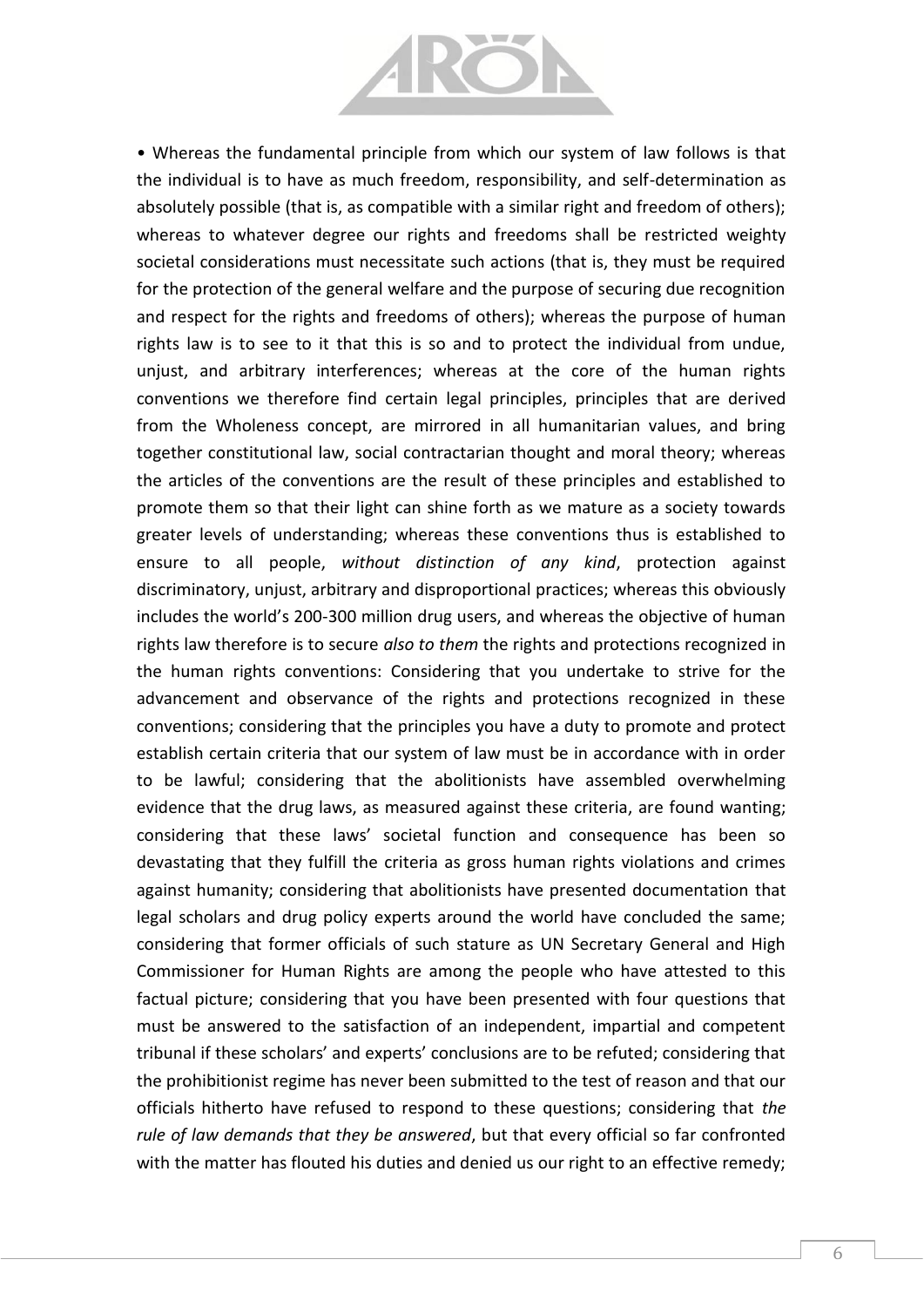

• Whereas the fundamental principle from which our system of law follows is that the individual is to have as much freedom, responsibility, and self-determination as absolutely possible (that is, as compatible with a similar right and freedom of others); whereas to whatever degree our rights and freedoms shall be restricted weighty societal considerations must necessitate such actions (that is, they must be required for the protection of the general welfare and the purpose of securing due recognition and respect for the rights and freedoms of others); whereas the purpose of human rights law is to see to it that this is so and to protect the individual from undue, unjust, and arbitrary interferences; whereas at the core of the human rights conventions we therefore find certain legal principles, principles that are derived from the Wholeness concept, are mirrored in all humanitarian values, and bring together constitutional law, social contractarian thought and moral theory; whereas the articles of the conventions are the result of these principles and established to promote them so that their light can shine forth as we mature as a society towards greater levels of understanding; whereas these conventions thus is established to ensure to all people, *without distinction of any kind*, protection against discriminatory, unjust, arbitrary and disproportional practices; whereas this obviously includes the world's 200-300 million drug users, and whereas the objective of human rights law therefore is to secure *also to them* the rights and protections recognized in the human rights conventions: Considering that you undertake to strive for the advancement and observance of the rights and protections recognized in these conventions; considering that the principles you have a duty to promote and protect establish certain criteria that our system of law must be in accordance with in order to be lawful; considering that the abolitionists have assembled overwhelming evidence that the drug laws, as measured against these criteria, are found wanting; considering that these laws' societal function and consequence has been so devastating that they fulfill the criteria as gross human rights violations and crimes against humanity; considering that abolitionists have presented documentation that legal scholars and drug policy experts around the world have concluded the same; considering that former officials of such stature as UN Secretary General and High Commissioner for Human Rights are among the people who have attested to this factual picture; considering that you have been presented with four questions that must be answered to the satisfaction of an independent, impartial and competent tribunal if these scholars' and experts' conclusions are to be refuted; considering that the prohibitionist regime has never been submitted to the test of reason and that our officials hitherto have refused to respond to these questions; considering that *the rule of law demands that they be answered*, but that every official so far confronted with the matter has flouted his duties and denied us our right to an effective remedy;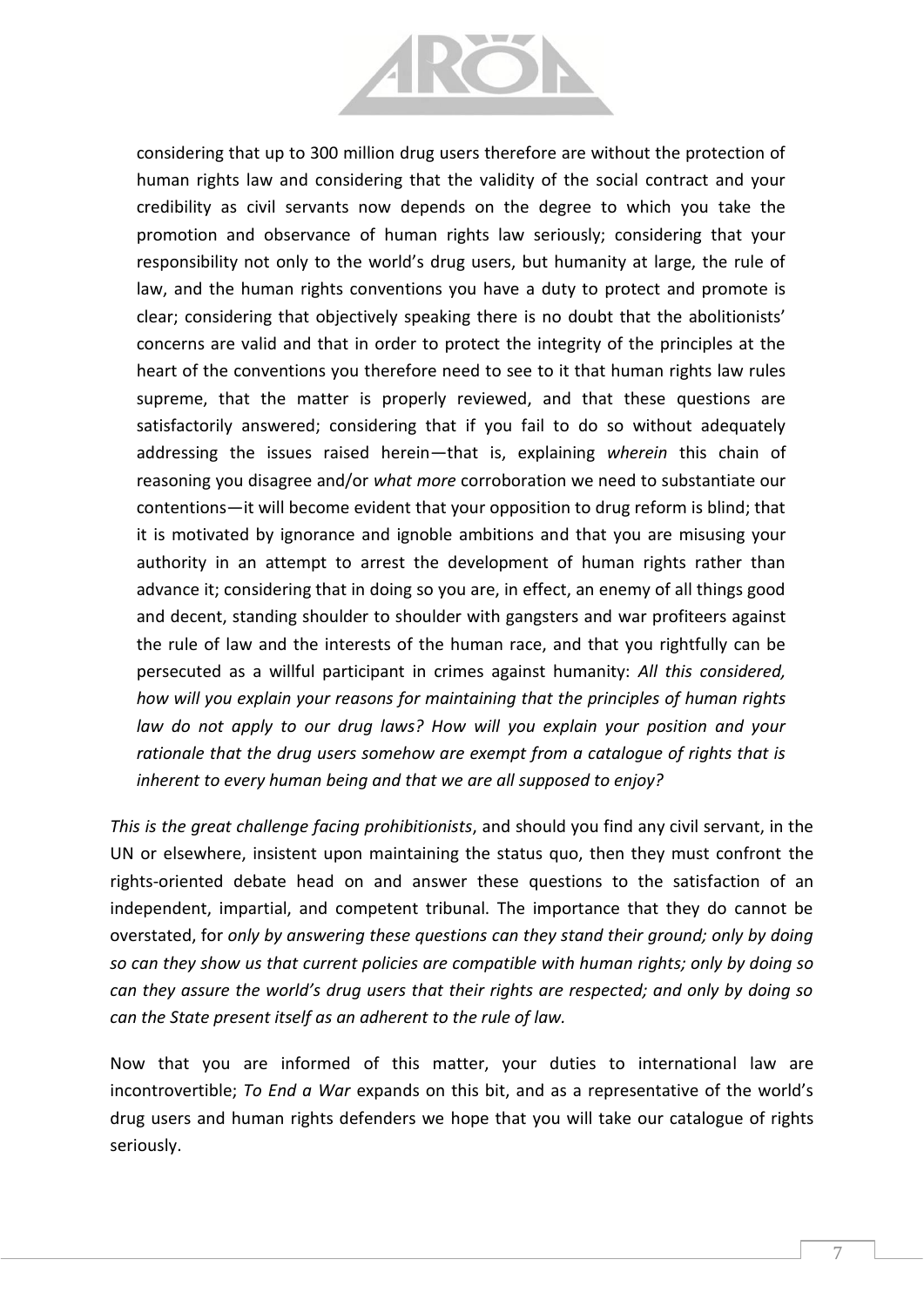

considering that up to 300 million drug users therefore are without the protection of human rights law and considering that the validity of the social contract and your credibility as civil servants now depends on the degree to which you take the promotion and observance of human rights law seriously; considering that your responsibility not only to the world's drug users, but humanity at large, the rule of law, and the human rights conventions you have a duty to protect and promote is clear; considering that objectively speaking there is no doubt that the abolitionists' concerns are valid and that in order to protect the integrity of the principles at the heart of the conventions you therefore need to see to it that human rights law rules supreme, that the matter is properly reviewed, and that these questions are satisfactorily answered; considering that if you fail to do so without adequately addressing the issues raised herein—that is, explaining *wherein* this chain of reasoning you disagree and/or *what more* corroboration we need to substantiate our contentions—it will become evident that your opposition to drug reform is blind; that it is motivated by ignorance and ignoble ambitions and that you are misusing your authority in an attempt to arrest the development of human rights rather than advance it; considering that in doing so you are, in effect, an enemy of all things good and decent, standing shoulder to shoulder with gangsters and war profiteers against the rule of law and the interests of the human race, and that you rightfully can be persecuted as a willful participant in crimes against humanity: *All this considered, how will you explain your reasons for maintaining that the principles of human rights law do not apply to our drug laws? How will you explain your position and your rationale that the drug users somehow are exempt from a catalogue of rights that is inherent to every human being and that we are all supposed to enjoy?*

*This is the great challenge facing prohibitionists*, and should you find any civil servant, in the UN or elsewhere, insistent upon maintaining the status quo, then they must confront the rights-oriented debate head on and answer these questions to the satisfaction of an independent, impartial, and competent tribunal. The importance that they do cannot be overstated, for *only by answering these questions can they stand their ground; only by doing so can they show us that current policies are compatible with human rights; only by doing so can they assure the world's drug users that their rights are respected; and only by doing so can the State present itself as an adherent to the rule of law.*

Now that you are informed of this matter, your duties to international law are incontrovertible; *To End a War* expands on this bit, and as a representative of the world's drug users and human rights defenders we hope that you will take our catalogue of rights seriously.